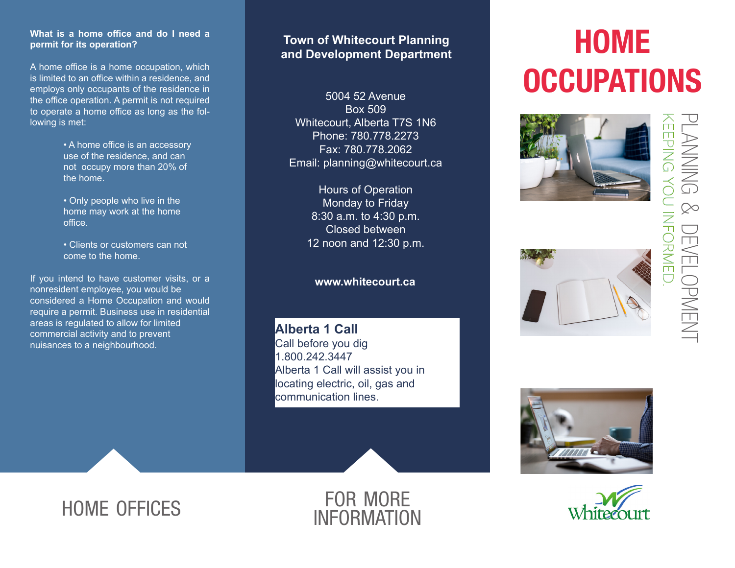## **What is a home office and do I need a permit for its operation?**

A home office is a home occupation, which is limited to an office within a residence, and employs only occupants of the residence in the office operation. A permit is not required to operate a home office as long as the following is met:

> • A home office is an accessory use of the residence, and can not occupy more than 20% of the home.

• Only people who live in the home may work at the home office.

• Clients or customers can not come to the home.

If you intend to have customer visits, or a nonresident employee, you would be considered a Home Occupation and would require a permit. Business use in residential areas is regulated to allow for limited commercial activity and to prevent nuisances to a neighbourhood.

## **Town of Whitecourt Planning and Development Department**

5004 52 Avenue Box 509 Whitecourt, Alberta T7S 1N6 Phone: 780.778.2273 Fax: 780.778.2062 Email: planning@whitecourt.ca

> Hours of Operation Monday to Friday 8:30 a.m. to 4:30 p.m. Closed between 12 noon and 12:30 p.m.

## **www.whitecourt.ca**

**Alberta 1 Call** Call before you dig 1.800.242.3447 Alberta 1 Call will assist you in locating electric, oil, gas and communication lines.

# **HOME OCCUPATIONS**